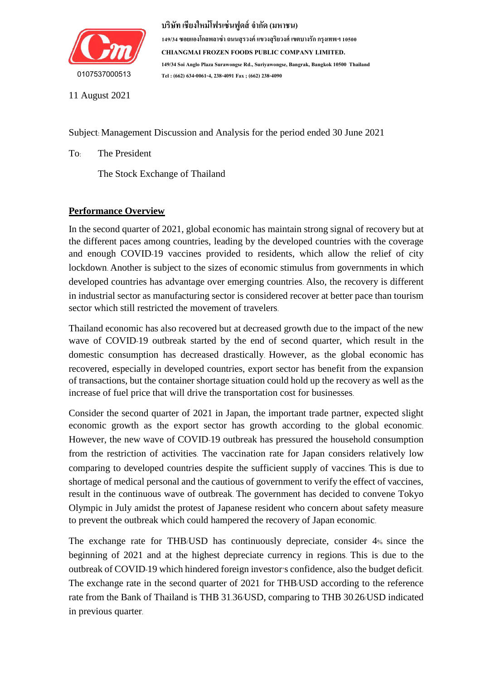

**149/34 ซอยแองโกลพลำซ่ำ ถนนสุรวงค์แขวงสุริยวงศ์เขตบำงรักกรุงเทพฯ 10500 CHIANGMAI FROZEN FOODS PUBLIC COMPANY LIMITED. 149/34 Soi Anglo Plaza Surawongse Rd., Suriyawongse, Bangrak, Bangkok 10500 Thailand Tel : (662) 634-0061-4, 238-4091 Fax ; (662) 238-4090**

11 August 2021

Subject: Management Discussion and Analysis for the period ended 30 June 2021

To: The President

The Stock Exchange of Thailand

# **Performance Overview**

In the second quarter of 2021, global economic has maintain strong signal of recovery but at the different paces among countries, leading by the developed countries with the coverage and enough COVID-19 vaccines provided to residents, which allow the relief of city lockdown. Another is subject to the sizes of economic stimulus from governments in which developed countries has advantage over emerging countries. Also, the recovery is different in industrial sector as manufacturing sector is considered recover at better pace than tourism sector which still restricted the movement of travelers.

Thailand economic has also recovered but at decreased growth due to the impact of the new wave of COVID-19 outbreak started by the end of second quarter, which result in the domestic consumption has decreased drastically. However, as the global economic has recovered, especially in developed countries, export sector has benefit from the expansion of transactions, but the container shortage situation could hold up the recovery as well as the increase of fuel price that will drive the transportation cost for businesses.

Consider the second quarter of 2021 in Japan, the important trade partner, expected slight economic growth as the export sector has growth according to the global economic. However, the new wave of COVID-19 outbreak has pressured the household consumption from the restriction of activities. The vaccination rate for Japan considers relatively low comparing to developed countries despite the sufficient supply of vaccines. This is due to shortage of medical personal and the cautious of government to verify the effect of vaccines, result in the continuous wave of outbreak. The government has decided to convene Tokyo Olympic in July amidst the protest of Japanese resident who concern about safety measure to prevent the outbreak which could hampered the recovery of Japan economic.

The exchange rate for THB/USD has continuously depreciate, consider 4% since the beginning of 2021 and at the highest depreciate currency in regions. This is due to the outbreak of COVID-19 which hindered foreign investor's confidence, also the budget deficit. The exchange rate in the second quarter of 2021 for THB/USD according to the reference rate from the Bank of Thailand is THB 31.36/USD, comparing to THB 30.26/USD indicated in previous quarter.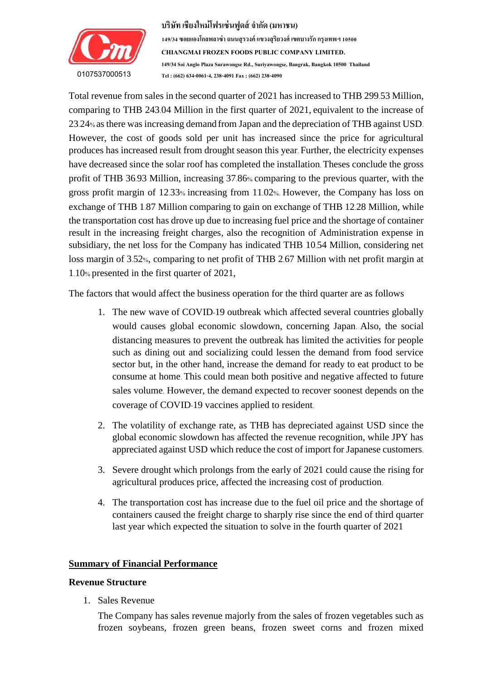

Total revenue from sales in the second quarter of 2021 has increased to THB 299.53 Million, comparing to THB 243.04 Million in the first quarter of 2021, equivalent to the increase of  $\frac{1}{2}$  is a single-contained from  $\frac{1}{2}$  and  $\frac{1}{2}$  is a  $\frac{1}{2}$  or  $\frac{1}{2}$  is a  $\frac{1}{2}$  is a  $\frac{1}{2}$  is a  $\frac{1}{2}$  is a  $\frac{1}{2}$  is a  $\frac{1}{2}$  is a  $\frac{1}{2}$  is a  $\frac{1}{2}$  is a  $\frac{1}{2}$  is a  $\frac{1}{2$ 23.24% as there was increasing demand from Japan and the depreciation of THB against USD. However, the cost of goods sold per unit has increased since the price for agricultural produces has increased result from drought season this year. Further, the electricity expenses have decreased since the solar roof has completed the installation. Theses conclude the gross profit of THB 36.93 Million, increasing 37.86% comparing to the previous quarter, with the gross profit margin of 12.33% increasing from 11.02%. However, the Company has loss on exchange of THB 1.87 Million comparing to gain on exchange of THB 12.28 Million, while the transportation cost has drove up due to increasing fuel price and the shortage of container result in the increasing freight charges, also the recognition of Administration expense in subsidiary, the net loss for the Company has indicated THB 10.54 Million, considering net loss margin of 3.52%, comparing to net profit of THB 2.67 Million with net profit margin at 1.10% presented in the first quarter of 2021,

The factors that would affect the business operation for the third quarter are as follows

- 1. The new wave of COVID-19 outbreak which affected several countries globally would causes global economic slowdown, concerning Japan. Also, the social distancing measures to prevent the outbreak has limited the activities for people such as dining out and socializing could lessen the demand from food service sector but, in the other hand, increase the demand for ready to eat product to be consume at home. This could mean both positive and negative affected to future sales volume. However, the demand expected to recover soonest depends on the coverage of COVID-19 vaccines applied to resident.
- 2. The volatility of exchange rate, as THB has depreciated against USD since the global economic slowdown has affected the revenue recognition, while JPY has appreciated against USD which reduce the cost of import for Japanese customers.
- 3. Severe drought which prolongs from the early of 2021 could cause the rising for agricultural produces price, affected the increasing cost of production.
- 4. The transportation cost has increase due to the fuel oil price and the shortage of containers caused the freight charge to sharply rise since the end of third quarter last year which expected the situation to solve in the fourth quarter of 2021

## **Summary of Financial Performance**

#### **Revenue Structure**

1. Sales Revenue

The Company has sales revenue majorly from the sales of frozen vegetables such as frozen soybeans, frozen green beans, frozen sweet corns and frozen mixed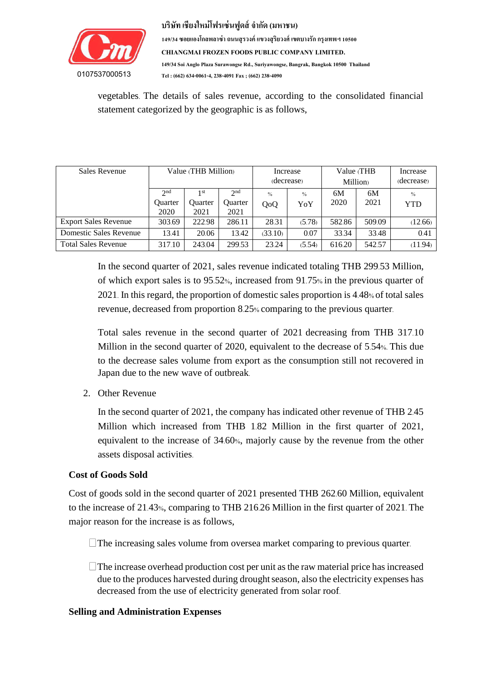

**149/34 ซอยแองโกลพลำซ่ำ ถนนสุรวงค์แขวงสุริยวงศ์เขตบำงรักกรุงเทพฯ 10500 CHIANGMAI FROZEN FOODS PUBLIC COMPANY LIMITED. 149/34 Soi Anglo Plaza Surawongse Rd., Suriyawongse, Bangrak, Bangkok 10500 Thailand Tel : (662) 634-0061-4, 238-4091 Fax ; (662) 238-4090**

vegetables. The details of sales revenue, according to the consolidated financial statement categorized by the geographic is as follows,

| Sales Revenue               | Value (THB Million)                       |                                           |                                           | Increase<br>(decrease) |                      | Value (THB<br><b>Million</b> |            | Increase<br>(decrease)      |
|-----------------------------|-------------------------------------------|-------------------------------------------|-------------------------------------------|------------------------|----------------------|------------------------------|------------|-----------------------------|
|                             | 2 <sub>nd</sub><br><b>Ouarter</b><br>2020 | 1 <sup>st</sup><br><b>Ouarter</b><br>2021 | 2 <sup>nd</sup><br><b>Ouarter</b><br>2021 | $\frac{0}{0}$<br>QoQ   | $\frac{0}{0}$<br>YoY | 6M<br>2020                   | 6M<br>2021 | $\frac{0}{0}$<br><b>YTD</b> |
| <b>Export Sales Revenue</b> | 303.69                                    | 222.98                                    | 286.11                                    | 28.31                  | (5.78)               | 582.86                       | 509.09     | (12.66)                     |
| Domestic Sales Revenue      | 13.41                                     | 20.06                                     | 13.42                                     | (33.10)                | 0.07                 | 33.34                        | 33.48      | 0.41                        |
| <b>Total Sales Revenue</b>  | 317.10                                    | 243.04                                    | 299.53                                    | 23.24                  | (5.54)               | 616.20                       | 542.57     | (11.94)                     |

In the second quarter of 2021, sales revenue indicated totaling THB 299.53 Million, of which export sales is to 95.52%, increased from 91.75% in the previous quarter of 2021. In this regard, the proportion of domestic sales proportion is 4.48% of total sales revenue, decreased from proportion 8.25% comparing to the previous quarter.

Total sales revenue in the second quarter of 2021 decreasing from THB 317.10 Million in the second quarter of 2020, equivalent to the decrease of 5.54%. This due to the decrease sales volume from export as the consumption still not recovered in Japan due to the new wave of outbreak.

2. Other Revenue

In the second quarter of 2021, the company has indicated other revenue of THB 2.45 Million which increased from THB 1.82 Million in the first quarter of 2021, equivalent to the increase of 34.60%, majorly cause by the revenue from the other assets disposal activities.

## **Cost of Goods Sold**

Cost of goods sold in the second quarter of 2021 presented THB 262.60 Million, equivalent to the increase of 21.43%, comparing to THB 216.26 Million in the first quarter of 2021. The major reason for the increase is as follows,

 $\Box$  The increasing sales volume from oversea market comparing to previous quarter.

 $\Box$  The increase overhead production cost per unit as the raw material price has increased due to the produces harvested during drought season, also the electricity expenses has decreased from the use of electricity generated from solar roof.

## **Selling and Administration Expenses**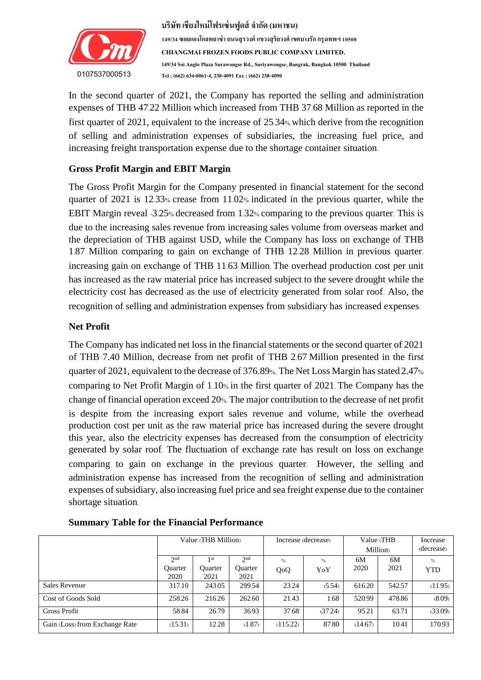

In the second quarter of 2021, the Company has reported the selling and administration  $\frac{1}{2}$  of  $\frac{1}{2}$  is the set of the set of  $\frac{1}{2}$  of  $\frac{1}{2}$  is the set of  $\frac{1}{2}$ of selling and administration expenses of subsidiaries, the increasing fuel price, and expenses of THB 47.22 Million which increased from THB 37.68 Million as reported in the first quarter of 2021, equivalent to the increase of 25.34% which derive from the recognition increasing freight transportation expense due to the shortage container situation.

# **Gross Profit Margin and EBIT Margin**

The Gross Profit Margin for the Company presented in financial statement for the second quarter of 2021 is 12.33% crease from 11.02% indicated in the previous quarter, while the EBIT Margin reveal -3.25% decreased from 1.32% comparing to the previous quarter. This is due to the increasing sales revenue from increasing sales volume from overseas market and the depreciation of THB against USD, while the Company has loss on exchange of THB 1.87 Million comparing to gain on exchange of THB 12.28 Million in previous quarter. increasing gain on exchange of THB 11.63 Million. The overhead production cost per unit has increased as the raw material price has increased subject to the severe drought while the electricity cost has decreased as the use of electricity generated from solar roof. Also, the recognition of selling and administration expenses from subsidiary has increased expenses.

# **Net Profit**

The Company has indicated net loss in the financial statements or the second quarter of 2021 of THB 7.40 Million, decrease from net profit of THB 2.67 Million presented in the first quarter of 2021, equivalent to the decrease of 376.89%. The Net Loss Margin has stated 2.47% comparing to Net Profit Margin of 1.10% in the first quarter of 2021. The Company has the change of financial operation exceed 20%. The major contribution to the decrease of net profit is despite from the increasing export sales revenue and volume, while the overhead production cost per unit as the raw material price has increased during the severe drought this year, also the electricity expenses has decreased from the consumption of electricity generated by solar roof. The fluctuation of exchange rate has result on loss on exchange comparing to gain on exchange in the previous quarter. However, the selling and administration expense has increased from the recognition of selling and administration expenses of subsidiary, also increasing fuel price and sea freight expense due to the container shortage situation.

|                                | Value (THB Million)                       |                                |                                    |                      | Increase (decrease)  | Value (THB<br><b>Million</b> |            | Increase<br>(decrease)      |
|--------------------------------|-------------------------------------------|--------------------------------|------------------------------------|----------------------|----------------------|------------------------------|------------|-----------------------------|
|                                | 2 <sub>nd</sub><br><b>Ouarter</b><br>2020 | 1 st<br><b>Ouarter</b><br>2021 | 2 <sub>nd</sub><br>Ouarter<br>2021 | $\frac{0}{0}$<br>QoQ | $\frac{0}{0}$<br>YoY | 6M<br>2020                   | 6M<br>2021 | $\frac{0}{0}$<br><b>YTD</b> |
| Sales Revenue                  | 317.10                                    | 243.05                         | 299.54                             | 23.24                | (5.54)               | 616.20                       | 542.57     | (11.95)                     |
| Cost of Goods Sold             | 258.26                                    | 216.26                         | 262.60                             | 21.43                | 1.68                 | 520.99                       | 478.86     | (8.09)                      |
| <b>Gross Profit</b>            | 58.84                                     | 26.79                          | 36.93                              | 37.68                | (37.24)              | 95.21                        | 63.71      | (33.09)                     |
| Gain (Loss) from Exchange Rate | (15.31)                                   | 12.28                          | (1.87)                             | (115.22)             | 87.80                | (14.67)                      | 10.41      | 170.93                      |

#### **Summary Table for the Financial Performance**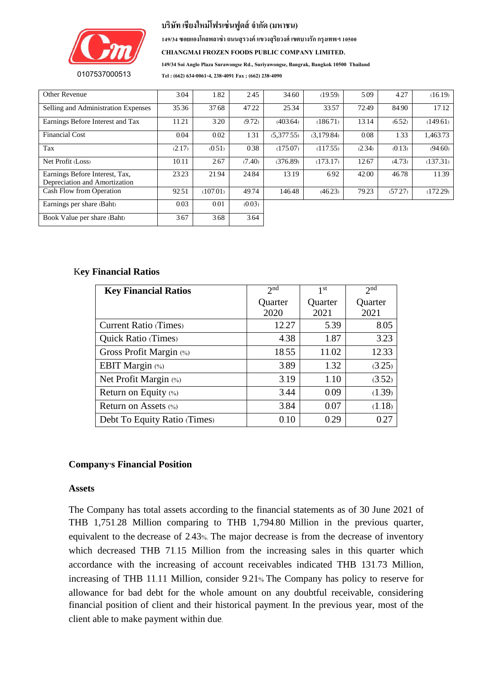

**149/34 ซอยแองโกลพลำซ่ำ ถนนสุรวงค์แขวงสุริยวงศ์เขตบำงรักกรุงเทพฯ 10500**

**CHIANGMAI FROZEN FOODS PUBLIC COMPANY LIMITED.**

**149/34 Soi Anglo Plaza Surawongse Rd., Suriyawongse, Bangrak, Bangkok 10500 Thailand**

**0107537000513**

**Tel : (662) 634-0061-4, 238-4091 Fax ; (662) 238-4090**

| <b>Other Revenue</b>                                            | 3.04   | 1.82     | 2.45   | 34.60      | (19.59)    | 5.09   | 4.27    | (16.19)  |
|-----------------------------------------------------------------|--------|----------|--------|------------|------------|--------|---------|----------|
| Selling and Administration Expenses                             | 35.36  | 37.68    | 47.22  | 25.34      | 33.57      | 72.49  | 84.90   | 17.12    |
| Earnings Before Interest and Tax                                | 11.21  | 3.20     | (9.72) | (403.64)   | (186.71)   | 13.14  | (6.52)  | (149.61) |
| <b>Financial Cost</b>                                           | 0.04   | 0.02     | 1.31   | (5,377.55) | (3,179.84) | 0.08   | 1.33    | 1,463.73 |
| Tax                                                             | (2.17) | (0.51)   | 0.38   | (175.07)   | (117.55)   | (2.34) | (0.13)  | (94.60)  |
| Net Profit (Loss)                                               | 10.11  | 2.67     | (7.40) | (376.89)   | (173.17)   | 12.67  | (4.73)  | (137.31) |
| Earnings Before Interest, Tax,<br>Depreciation and Amortization | 23.23  | 21.94    | 24.84  | 13.19      | 6.92       | 42.00  | 46.78   | 11.39    |
| Cash Flow from Operation                                        | 92.51  | (107.01) | 49.74  | 146.48     | (46.23)    | 79.23  | (57.27) | (172.29) |
| Earnings per share (Baht)                                       | 0.03   | 0.01     | (0.03) |            |            |        |         |          |
| Book Value per share (Baht)                                     | 3.67   | 3.68     | 3.64   |            |            |        |         |          |

#### K**ey Financial Ratios**

| <b>Key Financial Ratios</b>  | 2 <sub>nd</sub> | 1 <sup>st</sup> | 2 <sub>nd</sub> |  |
|------------------------------|-----------------|-----------------|-----------------|--|
|                              | Quarter         | Quarter         | Quarter         |  |
|                              | 2020            | 2021            | 2021            |  |
| <b>Current Ratio (Times)</b> | 12.27           | 5.39            | 8.05            |  |
| <b>Quick Ratio (Times)</b>   | 4.38            | 1.87            | 3.23            |  |
| Gross Profit Margin (%)      | 18.55           | 11.02           | 12.33           |  |
| <b>EBIT Margin</b> (%)       | 3.89            | 1.32            | (3.25)          |  |
| Net Profit Margin (%)        | 3.19            | 1.10            | (3.52)          |  |
| Return on Equity (%)         | 3.44            | 0.09            | (1.39)          |  |
| Return on Assets (%)         | 3.84            | 0.07            | (1.18)          |  |
| Debt To Equity Ratio (Times) | 0.10            | 0.29            | 0.27            |  |

#### **Company's Financial Position**

#### **Assets**

The Company has total assets according to the financial statements as of 30 June 2021 of THB 1,751.28 Million comparing to THB 1,794.80 Million in the previous quarter, equivalent to the decrease of 2.43%. The major decrease is from the decrease of inventory which decreased THB 71.15 Million from the increasing sales in this quarter which accordance with the increasing of account receivables indicated THB 131.73 Million, increasing of THB 11.11 Million, consider 9.21% The Company has policy to reserve for allowance for bad debt for the whole amount on any doubtful receivable, considering financial position of client and their historical payment. In the previous year, most of the client able to make payment within due.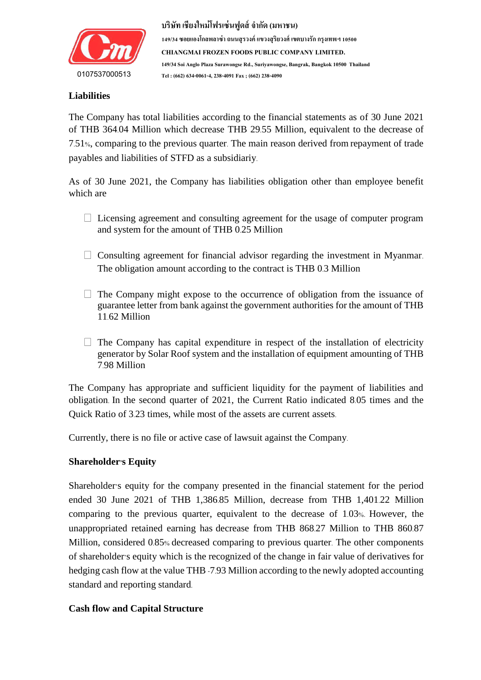

## **Liabilities**

The Company has total liabilities according to the financial statements as of 30 June 2021 of THB 364.04 Million which decrease THB 29.55 Million, equivalent to the decrease of 7.51%, comparing to the previous quarter. The main reason derived from repayment of trade payables and liabilities of STFD as a subsidiariy.

As of 30 June 2021, the Company has liabilities obligation other than employee benefit which are

- $\Box$  Licensing agreement and consulting agreement for the usage of computer program and system for the amount of THB 0.25 Million
- $\Box$  Consulting agreement for financial advisor regarding the investment in Myanmar. The obligation amount according to the contract is THB 0.3 Million
- $\Box$  The Company might expose to the occurrence of obligation from the issuance of guarantee letter from bank against the government authorities for the amount of THB 11.62 Million
- The Company has capital expenditure in respect of the installation of electricity generator by Solar Roof system and the installation of equipment amounting of THB 7.98 Million

The Company has appropriate and sufficient liquidity for the payment of liabilities and obligation. In the second quarter of 2021, the Current Ratio indicated 8.05 times and the Quick Ratio of 3.23 times, while most of the assets are current assets.

Currently, there is no file or active case of lawsuit against the Company.

## **Shareholder's Equity**

Shareholder's equity for the company presented in the financial statement for the period ended 30 June 2021 of THB 1,386.85 Million, decrease from THB 1,401.22 Million comparing to the previous quarter, equivalent to the decrease of 1.03%. However, the unappropriated retained earning has decrease from THB 868.27 Million to THB 860.87 Million, considered 0.85% decreased comparing to previous quarter. The other components of shareholder's equity which is the recognized of the change in fair value of derivatives for hedging cash flow at the value THB -7.93 Million according to the newly adopted accounting standard and reporting standard.

## **Cash flow and Capital Structure**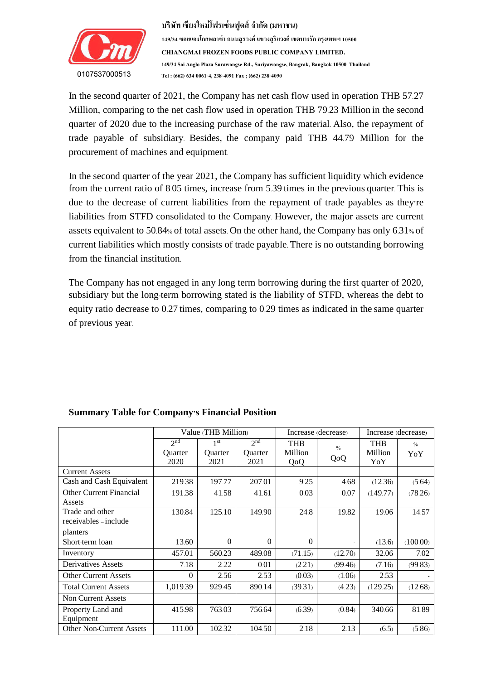

In the second quarter of 2021, the Company has net cash flow used in operation THB 57.27 Million, comparing to the net cash flow used in operation THB 79.23 Million in the second quarter of 2020 due to the increasing purchase of the raw material. Also, the repayment of trade payable of subsidiary. Besides, the company paid THB 44.79 Million for the procurement of machines and equipment.

In the second quarter of the year 2021, the Company has sufficient liquidity which evidence from the current ratio of 8.05 times, increase from 5.39 times in the previous quarter. This is due to the decrease of current liabilities from the repayment of trade payables as they're liabilities from STFD consolidated to the Company. However, the major assets are current assets equivalent to 50.84% of total assets. On the other hand, the Company has only 6.31% of current liabilities which mostly consists of trade payable. There is no outstanding borrowing from the financial institution.

The Company has not engaged in any long term borrowing during the first quarter of 2020, subsidiary but the long-term borrowing stated is the liability of STFD, whereas the debt to equity ratio decrease to 0.27 times, comparing to 0.29 times as indicated in the same quarter of previous year.

|                                 |                 | Value (THB Million) |                 |            | Increase (decrease) | Increase (decrease) |               |
|---------------------------------|-----------------|---------------------|-----------------|------------|---------------------|---------------------|---------------|
|                                 | 2 <sub>nd</sub> | 1 <sup>st</sup>     | 2 <sub>nd</sub> | <b>THB</b> | $\frac{0}{0}$       | <b>THB</b>          | $\frac{0}{0}$ |
|                                 | <b>Ouarter</b>  | <b>Ouarter</b>      | <b>Ouarter</b>  | Million    | QoQ                 | Million             | YoY           |
|                                 | 2020            | 2021                | 2021            | QoQ        |                     | YoY                 |               |
| <b>Current Assets</b>           |                 |                     |                 |            |                     |                     |               |
| Cash and Cash Equivalent        | 219.38          | 197.77              | 207.01          | 9.25       | 4.68                | (12.36)             | (5.64)        |
| <b>Other Current Financial</b>  | 191.38          | 41.58               | 41.61           | 0.03       | 0.07                | (149.77)            | (78.26)       |
| Assets                          |                 |                     |                 |            |                     |                     |               |
| Trade and other                 | 130.84          | 125.10              | 149.90          | 24.8       | 19.82               | 19.06               | 14.57         |
| receivables – include           |                 |                     |                 |            |                     |                     |               |
| planters                        |                 |                     |                 |            |                     |                     |               |
| Short-term loan                 | 13.60           | $\Omega$            | $\Omega$        | $\Omega$   |                     | (13.6)              | (100.00)      |
| Inventory                       | 457.01          | 560.23              | 489.08          | (71.15)    | (12.70)             | 32.06               | 7.02          |
| Derivatives Assets              | 7.18            | 2.22                | 0.01            | (2.21)     | (99.46)             | (7.16)              | (99.83)       |
| <b>Other Current Assets</b>     | $\Omega$        | 2.56                | 2.53            | (0.03)     | (1.06)              | 2.53                |               |
| <b>Total Current Assets</b>     | 1,019.39        | 929.45              | 890.14          | (39.31)    | (4.23)              | (129.25)            | (12.68)       |
| <b>Non-Current Assets</b>       |                 |                     |                 |            |                     |                     |               |
| Property Land and               | 415.98          | 763.03              | 756.64          | (6.39)     | (0.84)              | 340.66              | 81.89         |
| Equipment                       |                 |                     |                 |            |                     |                     |               |
| <b>Other Non-Current Assets</b> | 111.00          | 102.32              | 104.50          | 2.18       | 2.13                | (6.5)               | (5.86)        |

## **Summary Table for Company's Financial Position**